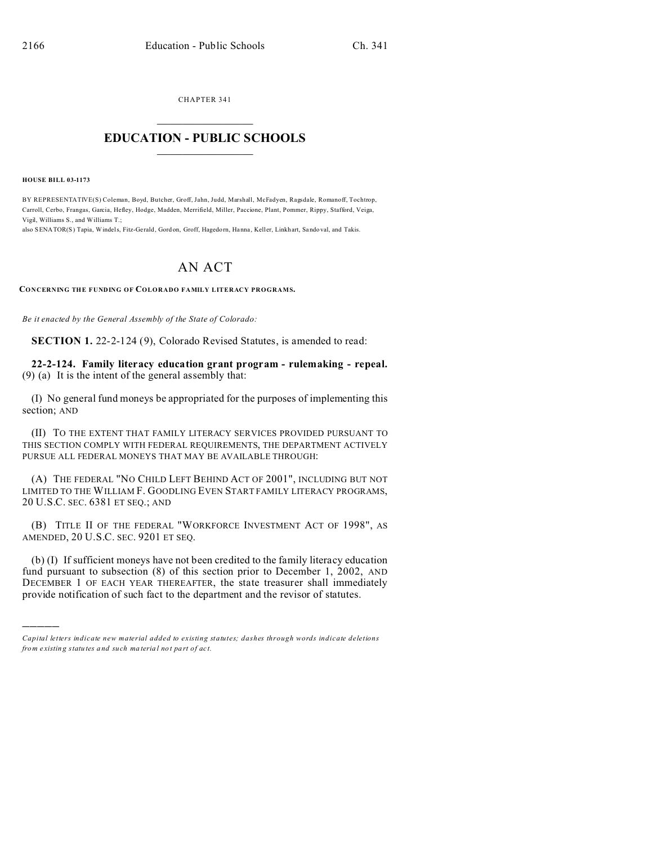CHAPTER 341  $\overline{\phantom{a}}$  , where  $\overline{\phantom{a}}$ 

## **EDUCATION - PUBLIC SCHOOLS**  $\_$   $\_$   $\_$   $\_$   $\_$   $\_$   $\_$   $\_$   $\_$

**HOUSE BILL 03-1173**

)))))

BY REPRESENTATIVE(S) Coleman, Boyd, Butcher, Groff, Jahn, Judd, Marshall, McFadyen, Ragsdale, Romanoff, Tochtrop, Carroll, Cerbo, Frangas, Garcia, Hefley, Hodge, Madden, Merrifield, Miller, Paccione, Plant, Pommer, Rippy, Stafford, Veiga, Vigil, Williams S., and Williams T.;

also SENATOR(S) Tapia, Windels, Fitz-Gerald, Gord on, Groff, Hagedorn, Hanna, Keller, Linkhart, Sando val, and Takis.

## AN ACT

**CONCERNING THE FUNDING OF COLORADO FAMILY LITERACY PROGRAMS.**

*Be it enacted by the General Assembly of the State of Colorado:*

**SECTION 1.** 22-2-124 (9), Colorado Revised Statutes, is amended to read:

**22-2-124. Family literacy education grant program - rulemaking - repeal.** (9) (a) It is the intent of the general assembly that:

(I) No general fund moneys be appropriated for the purposes of implementing this section; AND

(II) TO THE EXTENT THAT FAMILY LITERACY SERVICES PROVIDED PURSUANT TO THIS SECTION COMPLY WITH FEDERAL REQUIREMENTS, THE DEPARTMENT ACTIVELY PURSUE ALL FEDERAL MONEYS THAT MAY BE AVAILABLE THROUGH:

(A) THE FEDERAL "NO CHILD LEFT BEHIND ACT OF 2001", INCLUDING BUT NOT LIMITED TO THE WILLIAM F. GOODLING EVEN START FAMILY LITERACY PROGRAMS, 20 U.S.C. SEC. 6381 ET SEQ.; AND

(B) TITLE II OF THE FEDERAL "WORKFORCE INVESTMENT ACT OF 1998", AS AMENDED, 20 U.S.C. SEC. 9201 ET SEQ.

(b) (I) If sufficient moneys have not been credited to the family literacy education fund pursuant to subsection (8) of this section prior to December 1, 2002, AND DECEMBER 1 OF EACH YEAR THEREAFTER, the state treasurer shall immediately provide notification of such fact to the department and the revisor of statutes.

*Capital letters indicate new material added to existing statutes; dashes through words indicate deletions from e xistin g statu tes a nd such ma teria l no t pa rt of ac t.*